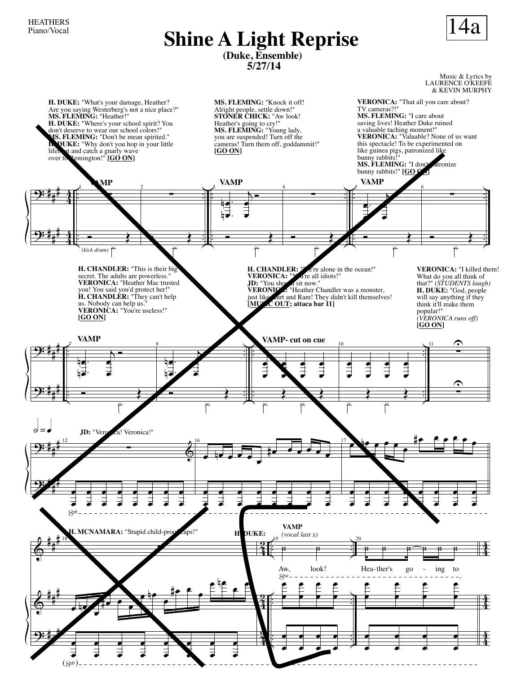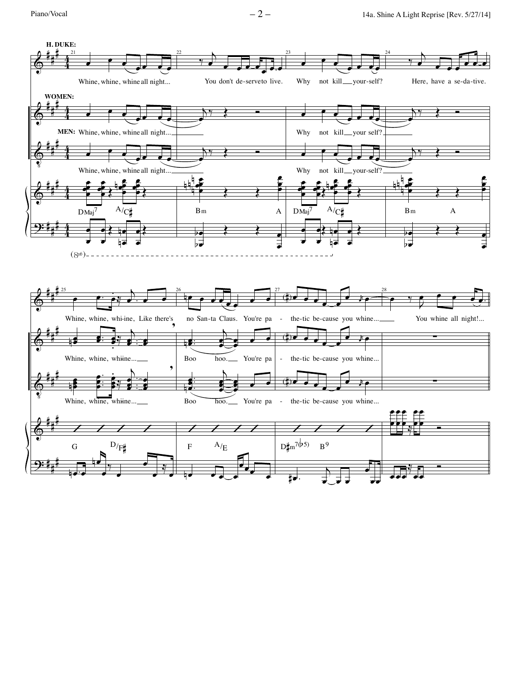